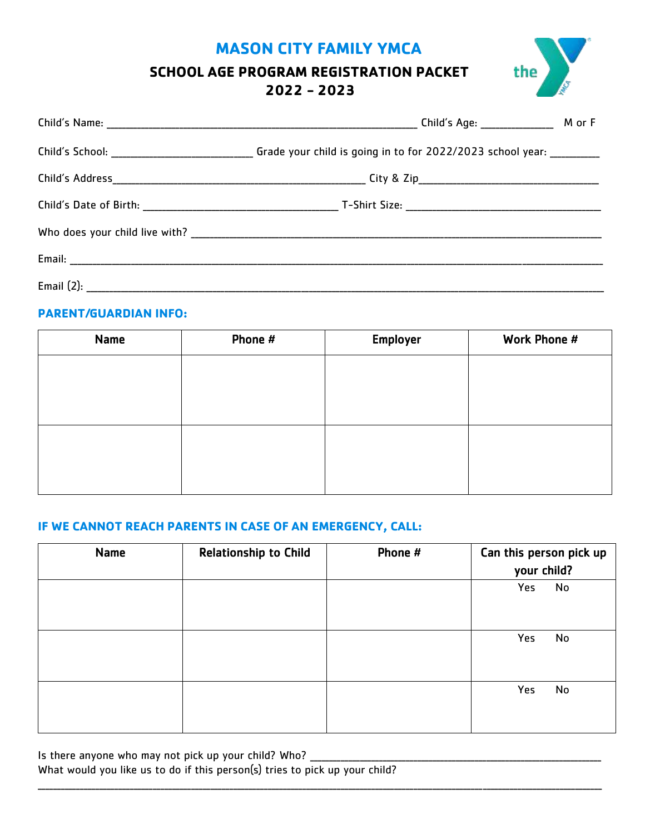# **MASON CITY FAMILY YMCA**

# **SCHOOL AGE PROGRAM REGISTRATION PACKET 2022 - 2023**

| the |  |
|-----|--|
|     |  |

| Child's School: _____________________________Grade your child is going in to for 2022/2023 school year: _________ |  |
|-------------------------------------------------------------------------------------------------------------------|--|
|                                                                                                                   |  |
|                                                                                                                   |  |
|                                                                                                                   |  |
|                                                                                                                   |  |
|                                                                                                                   |  |

# **PARENT/GUARDIAN INFO:**

| Name | Phone # | Employer | Work Phone # |
|------|---------|----------|--------------|
|      |         |          |              |
|      |         |          |              |
|      |         |          |              |
|      |         |          |              |
|      |         |          |              |
|      |         |          |              |

## **IF WE CANNOT REACH PARENTS IN CASE OF AN EMERGENCY, CALL:**

| <b>Name</b> | <b>Relationship to Child</b> | Phone # | Can this person pick up<br>your child? |  |
|-------------|------------------------------|---------|----------------------------------------|--|
|             |                              |         | Yes<br>No                              |  |
|             |                              |         | Yes<br>No                              |  |
|             |                              |         | Yes<br>No                              |  |

\_\_\_\_\_\_\_\_\_\_\_\_\_\_\_\_\_\_\_\_\_\_\_\_\_\_\_\_\_\_\_\_\_\_\_\_\_\_\_\_\_\_\_\_\_\_\_\_\_\_\_\_\_\_\_\_\_\_\_\_\_\_\_\_\_\_\_\_\_\_\_\_\_\_\_\_\_\_\_\_\_\_\_\_\_\_\_\_\_\_\_\_\_\_\_\_\_\_\_\_\_\_\_\_\_\_\_\_\_\_\_\_\_\_\_\_\_\_\_\_\_\_\_\_\_\_\_\_\_\_\_\_\_\_\_\_\_\_\_\_\_\_\_\_\_\_\_

Is there anyone who may not pick up your child? Who? What would you like us to do if this person(s) tries to pick up your child?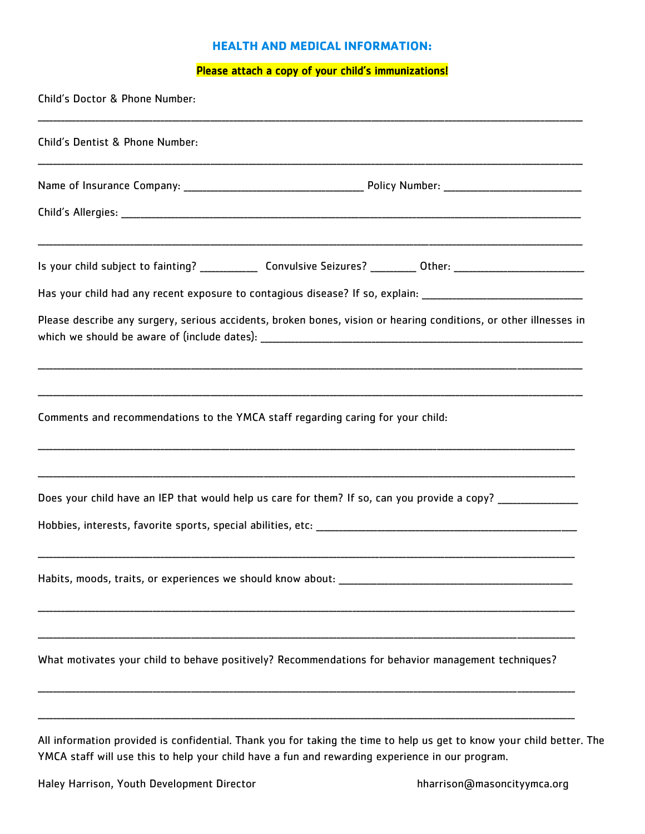#### **HEALTH AND MEDICAL INFORMATION:**

## Please attach a copy of your child's immunizations!

| Child's Doctor & Phone Number:                                                                                         |
|------------------------------------------------------------------------------------------------------------------------|
| Child's Dentist & Phone Number:                                                                                        |
|                                                                                                                        |
|                                                                                                                        |
| Is your child subject to fainting? _______________ Convulsive Seizures? __________ Other: ____________________________ |
| Has your child had any recent exposure to contagious disease? If so, explain: ________________________________         |
| Please describe any surgery, serious accidents, broken bones, vision or hearing conditions, or other illnesses in      |
|                                                                                                                        |
| Comments and recommendations to the YMCA staff regarding caring for your child:                                        |
|                                                                                                                        |
| Does your child have an IEP that would help us care for them? If so, can you provide a copy? ________________          |
|                                                                                                                        |
|                                                                                                                        |
| What motivates your child to behave positively? Recommendations for behavior management techniques?                    |
|                                                                                                                        |
| All information provided is confidential. Thank you for taking the time to help us get to know your child better. The  |

YMCA staff will use this to help your child have a fun and rewarding experience in our program.